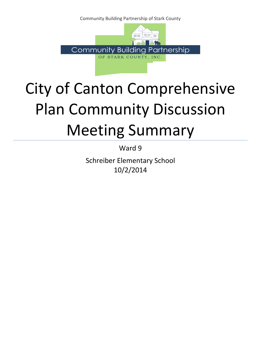Community Building Partnership of Stark County



# City of Canton Comprehensive Plan Community Discussion Meeting Summary

Ward 9

Schreiber Elementary School 10/2/2014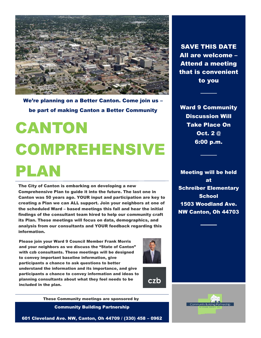

We're planning on a Better Canton. Come join us – be part of making Canton a Better Community

# CANTON COMPREHENSIVE PLAN

The City of Canton is embarking on developing a new Comprehensive Plan to guide it into the future. The last one in Canton was 50 years ago. YOUR input and participation are key to creating a Plan we can ALL support. Join your neighbors at one of the scheduled Ward – based meetings this fall and hear the initial findings of the consultant team hired to help our community craft its Plan. These meetings will focus on data, demographics, and analysis from our consultants and YOUR feedback regarding this information.

Please join your Ward 9 Council Member Frank Morris and your neighbors as we discuss the "State of Canton" with czb consultants. These meetings will be designed to convey important baseline information, give participants a chance to ask questions to better understand the information and its importance, and give participants a chance to convey information and ideas to planning consultants about what they feel needs to be included in the plan.





These Community meetings are sponsored by

Community Building Partnership

601 Cleveland Ave. NW, Canton, Oh 44709 / (330) 458 – 0962

SAVE THIS DATE All are welcome – Attend a meeting that is convenient to you

Ward 9 Community Discussion Will Take Place On Oct. 2 @ 6:00 p.m.

Meeting will be held at Schreiber Elementary **School** 1503 Woodland Ave. NW Canton, Oh 44703

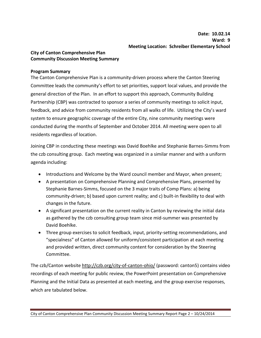# **City of Canton Comprehensive Plan Community Discussion Meeting Summary**

#### **Program Summary**

The Canton Comprehensive Plan is a community-driven process where the Canton Steering Committee leads the community's effort to set priorities, support local values, and provide the general direction of the Plan. In an effort to support this approach, Community Building Partnership (CBP) was contracted to sponsor a series of community meetings to solicit input, feedback, and advice from community residents from all walks of life. Utilizing the City's ward system to ensure geographic coverage of the entire City, nine community meetings were conducted during the months of September and October 2014. All meeting were open to all residents regardless of location.

Joining CBP in conducting these meetings was David Boehlke and Stephanie Barnes-Simms from the czb consulting group. Each meeting was organized in a similar manner and with a uniform agenda including:

- Introductions and Welcome by the Ward council member and Mayor, when present;
- A presentation on Comprehensive Planning and Comprehensive Plans, presented by Stephanie Barnes-Simms, focused on the 3 major traits of Comp Plans: a) being community-driven; b) based upon current reality; and c) built-in flexibility to deal with changes in the future.
- A significant presentation on the current reality in Canton by reviewing the initial data as gathered by the czb consulting group team since mid-summer was presented by David Boehlke.
- Three group exercises to solicit feedback, input, priority-setting recommendations, and "specialness" of Canton allowed for uniform/consistent participation at each meeting and provided written, direct community content for consideration by the Steering Committee.

The czb/Canton website http://czb.org/city-of-canton-ohio/ (password: canton5) contains video recordings of each meeting for public review, the PowerPoint presentation on Comprehensive Planning and the Initial Data as presented at each meeting, and the group exercise responses, which are tabulated below.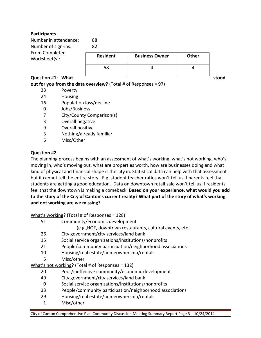# **Participants**

| Number in attendance:<br>Number of sign-ins: | 88<br>82        |                       |       |  |
|----------------------------------------------|-----------------|-----------------------|-------|--|
| From Completed<br>Worksheet(s):              | <b>Resident</b> | <b>Business Owner</b> | Other |  |
|                                              | 58              |                       |       |  |

**Question #1:** What states and a stood of the stood stood stood stood and stood stood stood stood and stood stood states and stood stood states and stood states and stood states and stood states and stood states and stood

**out for you from the data overview?** (Total # of Responses = 97)

- 33 Poverty
- 24 Housing
- 16 Population loss/decline
- 0 Jobs/Business
- 7 City/County Comparison(s)
- 3 Overall negative
- 9 Overall positive
- 3 Nothing/already familiar
- 6 Misc/Other

# **Question #2**

The planning process begins with an assessment of what's working, what's not working, who's moving in, who's moving out, what are properties worth, how are businesses doing and what kind of physical and financial shape is the city in. Statistical data can help with that assessment but it cannot tell the entire story. E.g. student teacher ratios won't tell us if parents feel that students are getting a good education. Data on downtown retail sale won't tell us if residents feel that the downtown is making a comeback. **Based on your experience, what would you add to the story of the City of Canton's current reality? What part of the story of what's working and not working are we missing?** 

What's working? (Total # of Responses = 128)

- 51 Community/economic development
	- (e.g.,HOF, downtown restaurants, cultural events, etc.)
- 26 City government/city services/land bank
- 15 Social service organizations/institutions/nonprofits
- 21 People/community participation/neighborhood associations
- 10 Housing/real estate/homeownership/rentals
- 5 Misc/other

What's not working? (Total # of Responses = 132)

- 20 Poor/ineffective community/economic development
- 49 City government/city services/land bank
- 0 Social service organizations/institutions/nonprofits
- 33 People/community participation/neighborhood associations
- 29 Housing/real estate/homeownership/rentals
- 1 Misc/other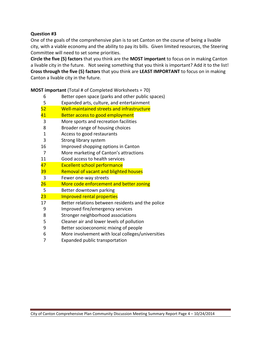# **Question #3**

One of the goals of the comprehensive plan is to set Canton on the course of being a livable city, with a viable economy and the ability to pay its bills. Given limited resources, the Steering Committee will need to set some priorities.

**Circle the five (5) factors** that you think are the **MOST important** to focus on in making Canton a livable city in the future. Not seeing something that you think is important? Add it to the list! **Cross through the five (5) factors** that you think are **LEAST IMPORTANT** to focus on in making Canton a livable city in the future.

**MOST important** (Total # of Completed Worksheets = 70) Better open space (parks and other public spaces) Expanded arts, culture, and entertainment Well-maintained streets and infrastructure 41 Better access to good employment More sports and recreation facilities Broader range of housing choices Access to good restaurants Strong library system Improved shopping options in Canton More marketing of Canton's attractions Good access to health services Excellent school performance Removal of vacant and blighted houses Fewer one-way streets 26 More code enforcement and better zoning Better downtown parking Improved rental properties Better relations between residents and the police Improved fire/emergency services Stronger neighborhood associations Cleaner air and lower levels of pollution Better socioeconomic mixing of people

- More involvement with local colleges/universities
- Expanded public transportation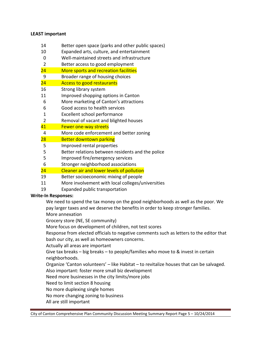#### **LEAST important**

- 14 Better open space (parks and other public spaces)
- 10 Expanded arts, culture, and entertainment
- 0 Well-maintained streets and infrastructure
- 2 Better access to good employment
- 24 More sports and recreation facilities
- 9 Broader range of housing choices
- 24 Access to good restaurants
- 16 Strong library system
- 11 Improved shopping options in Canton
- 6 More marketing of Canton's attractions
- 6 Good access to health services
- 1 Excellent school performance
- 2 Removal of vacant and blighted houses
- 41 Fewer one-way streets
- 4 More code enforcement and better zoning
- 28 Better downtown parking
- 5 Improved rental properties
- 5 Better relations between residents and the police
- 5 Improved fire/emergency services
- 6 Stronger neighborhood associations
- 24 Cleaner air and lower levels of pollution
- 19 Better socioeconomic mixing of people
- 11 More involvement with local colleges/universities
- 19 Expanded public transportation

## **Write-In Responses:**

We need to spend the tax money on the good neighborhoods as well as the poor. We pay larger taxes and we deserve the benefits in order to keep stronger families. More annexation

Grocery store (NE, SE community)

More focus on development of children, not test scores

Response from elected officials to negative comments such as letters to the editor that bash our city, as well as homeowners concerns.

Actually all areas are important

Give tax breaks – big breaks – to people/families who move to & invest in certain neighborhoods.

Organize 'Canton volunteers' – like Habitat – to revitalize houses that can be salvaged.

Also important: foster more small biz development

Need more businesses in the city limits/more jobs

Need to limit section 8 housing

No more duplexing single homes

No more changing zoning to business

All are still important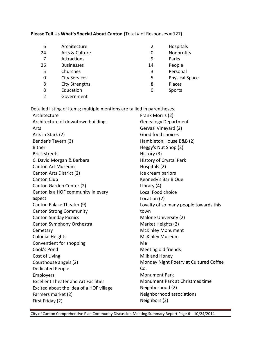# **Please Tell Us What's Special About Canton** (Total # of Responses = 127)

| 6  | Architecture          |    | Hospitals             |
|----|-----------------------|----|-----------------------|
| 24 | Arts & Culture        | 0  | Nonprofits            |
|    | Attractions           | 9  | Parks                 |
| 26 | <b>Businesses</b>     | 14 | People                |
| 5  | Churches              | 3  | Personal              |
| 0  | <b>City Services</b>  | 5  | <b>Physical Space</b> |
| 8  | <b>City Strengths</b> | 8  | Places                |
| 8  | Education             | 0  | Sports                |
| າ  | Government            |    |                       |

Detailed listing of items; multiple mentions are tallied in parentheses. Architecture Frank Morris (2)

| Architecture                                | FI dIIK IVIOITIS (Z)                   |  |  |
|---------------------------------------------|----------------------------------------|--|--|
| Architecture of downtown buildings          | <b>Genealogy Department</b>            |  |  |
| Arts                                        | Gervasi Vineyard (2)                   |  |  |
| Arts in Stark (2)                           | Good food choices                      |  |  |
| Bender's Tavern (3)                         | Hambleton House B&B (2)                |  |  |
| <b>Bitner</b>                               | Heggy's Nut Shop (2)                   |  |  |
| <b>Brick streets</b>                        | History (3)                            |  |  |
| C. David Morgan & Barbara                   | History of Crystal Park                |  |  |
| <b>Canton Art Museum</b>                    | Hospitals (2)                          |  |  |
| Canton Arts District (2)                    | Ice cream parlors                      |  |  |
| <b>Canton Club</b>                          | Kennedy's Bar B Que                    |  |  |
| Canton Garden Center (2)                    | Library (4)                            |  |  |
| Canton is a HOF community in every          | Local Food choice                      |  |  |
| aspect                                      | Location (2)                           |  |  |
| Canton Palace Theater (9)                   | Loyalty of so many people towards this |  |  |
| <b>Canton Strong Community</b>              | town                                   |  |  |
| <b>Canton Sunday Picnics</b>                | Malone University (2)                  |  |  |
| Canton Symphony Orchestra                   | Market Heights (2)                     |  |  |
| Cemetary                                    | <b>McKinley Monument</b>               |  |  |
| <b>Colonial Heights</b>                     | <b>McKinley Museum</b>                 |  |  |
| Conventient for shopping                    | Me                                     |  |  |
| Cook's Pond                                 | Meeting old friends                    |  |  |
| Cost of Living                              | Milk and Honey                         |  |  |
| Courthouse angels (2)                       | Monday Night Poetry at Cultured Coffee |  |  |
| <b>Dedicated People</b>                     | Co.                                    |  |  |
| Employers                                   | <b>Monument Park</b>                   |  |  |
| <b>Excellent Theater and Art Facilities</b> | Monument Park at Christmas time        |  |  |
| Excited about the idea of a HOF village     | Neighborhood (2)                       |  |  |
| Farmers market (2)                          | Neighborhood associations              |  |  |
| First Friday (2)                            | Neighbors (3)                          |  |  |
|                                             |                                        |  |  |